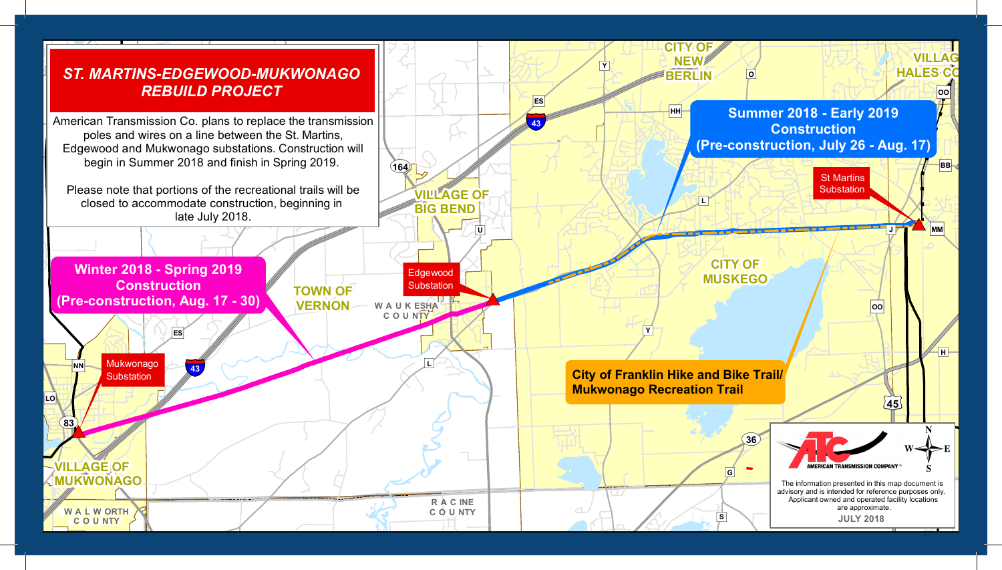